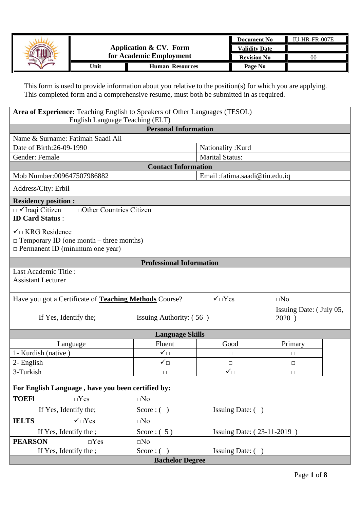|         |                         |                        | Document No          | IU-HR-FR-007E |
|---------|-------------------------|------------------------|----------------------|---------------|
| ATIONAL |                         | Application & CV. Form | <b>Validity Date</b> |               |
| ERBIL   | for Academic Employment |                        | <b>Revision No</b>   |               |
| Unit    |                         | <b>Human Resources</b> | Page No              |               |

This form is used to provide information about you relative to the position(s) for which you are applying. This completed form and a comprehensive resume, must both be submitted in as required.

| Area of Experience: Teaching English to Speakers of Other Languages (TESOL)<br>English Language Teaching (ELT)          |                                 |                                |                                  |  |  |  |
|-------------------------------------------------------------------------------------------------------------------------|---------------------------------|--------------------------------|----------------------------------|--|--|--|
| <b>Personal Information</b>                                                                                             |                                 |                                |                                  |  |  |  |
| Name & Surname: Fatimah Saadi Ali                                                                                       |                                 |                                |                                  |  |  |  |
| Date of Birth: 26-09-1990                                                                                               |                                 | Nationality: Kurd              |                                  |  |  |  |
| Gender: Female                                                                                                          |                                 | <b>Marital Status:</b>         |                                  |  |  |  |
|                                                                                                                         | <b>Contact Information</b>      |                                |                                  |  |  |  |
| Mob Number:009647507986882                                                                                              |                                 | Email :fatima.saadi@tiu.edu.iq |                                  |  |  |  |
| Address/City: Erbil                                                                                                     |                                 |                                |                                  |  |  |  |
| <b>Residency position:</b>                                                                                              |                                 |                                |                                  |  |  |  |
| □ Other Countries Citizen<br>$\Box$ VIraqi Citizen<br><b>ID Card Status:</b>                                            |                                 |                                |                                  |  |  |  |
| $\checkmark$ EXRG Residence<br>$\Box$ Temporary ID (one month – three months)<br>$\Box$ Permanent ID (minimum one year) |                                 |                                |                                  |  |  |  |
|                                                                                                                         | <b>Professional Information</b> |                                |                                  |  |  |  |
| Last Academic Title:<br><b>Assistant Lecturer</b>                                                                       |                                 |                                |                                  |  |  |  |
| Have you got a Certificate of <b>Teaching Methods</b> Course?                                                           |                                 | $\sqrt{\Box Y}$ es             | $\square$ No                     |  |  |  |
| If Yes, Identify the;                                                                                                   | Issuing Authority: (56)         |                                | Issuing Date: (July 05,<br>2020) |  |  |  |
|                                                                                                                         | <b>Language Skills</b>          |                                |                                  |  |  |  |
| Language                                                                                                                | Fluent                          | Good                           | Primary                          |  |  |  |
| 1- Kurdish (native)                                                                                                     | ✓□                              | □                              | $\Box$                           |  |  |  |
| 2- English                                                                                                              | $\checkmark_\Box$               | □                              | $\Box$                           |  |  |  |
| 3-Turkish                                                                                                               | □                               | $\checkmark_\Box$              | □                                |  |  |  |
| For English Language, have you been certified by:                                                                       |                                 |                                |                                  |  |  |  |
| <b>TOEFI</b><br>$\Box Yes$                                                                                              | $\square$ No                    |                                |                                  |  |  |  |
| If Yes, Identify the;                                                                                                   | Score: $( )$                    | Issuing Date: ()               |                                  |  |  |  |
| $\checkmark$ or $Yes$<br><b>IELTS</b>                                                                                   | $\square$ No                    |                                |                                  |  |  |  |
| If Yes, Identify the ;                                                                                                  | Score: $(5)$                    | Issuing Date: (23-11-2019)     |                                  |  |  |  |
| <b>PEARSON</b><br>$\Box$ Yes                                                                                            | $\square$ No                    |                                |                                  |  |  |  |
| If Yes, Identify the ;                                                                                                  | Score: $( )$                    | Issuing Date: ()               |                                  |  |  |  |
| <b>Bachelor Degree</b>                                                                                                  |                                 |                                |                                  |  |  |  |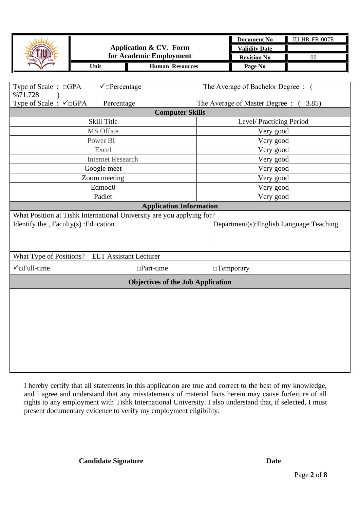|                                         | <b>Application &amp; CV. Form</b><br>for Academic Employment<br><b>Human Resources</b><br>Unit |                                                                       | <b>Document No</b><br><b>Validity Date</b><br><b>Revision No</b> | IU-HR-FR-007E<br>00                   |  |  |  |  |  |
|-----------------------------------------|------------------------------------------------------------------------------------------------|-----------------------------------------------------------------------|------------------------------------------------------------------|---------------------------------------|--|--|--|--|--|
|                                         |                                                                                                |                                                                       |                                                                  | Page No                               |  |  |  |  |  |
|                                         |                                                                                                |                                                                       |                                                                  |                                       |  |  |  |  |  |
| %71.728                                 | $\checkmark$ Percentage<br>Type of Scale : □GPA                                                |                                                                       |                                                                  | The Average of Bachelor Degree: (     |  |  |  |  |  |
| Type of Scale: $\checkmark$ GPA         | Percentage                                                                                     |                                                                       |                                                                  | The Average of Master Degree : (3.85) |  |  |  |  |  |
|                                         | <b>Computer Skills</b>                                                                         |                                                                       |                                                                  |                                       |  |  |  |  |  |
|                                         | <b>Skill Title</b>                                                                             |                                                                       |                                                                  | Level/Practicing Period               |  |  |  |  |  |
|                                         | MS Office                                                                                      |                                                                       |                                                                  | Very good                             |  |  |  |  |  |
|                                         | Power BI                                                                                       |                                                                       |                                                                  | Very good                             |  |  |  |  |  |
|                                         | Excel                                                                                          |                                                                       |                                                                  | Very good                             |  |  |  |  |  |
|                                         | <b>Internet Research</b>                                                                       |                                                                       |                                                                  | Very good                             |  |  |  |  |  |
|                                         | Google meet                                                                                    |                                                                       | Very good                                                        |                                       |  |  |  |  |  |
| Zoom meeting                            |                                                                                                |                                                                       | Very good                                                        |                                       |  |  |  |  |  |
|                                         | Edmod <sub>0</sub><br>Padlet                                                                   |                                                                       | Very good                                                        |                                       |  |  |  |  |  |
|                                         |                                                                                                | <b>Application Information</b>                                        | Very good                                                        |                                       |  |  |  |  |  |
|                                         |                                                                                                | What Position at Tishk International University are you applying for? |                                                                  |                                       |  |  |  |  |  |
| Identify the $, Faculty(s)$ : Education |                                                                                                |                                                                       | Department(s): English Language Teaching                         |                                       |  |  |  |  |  |
|                                         |                                                                                                |                                                                       |                                                                  |                                       |  |  |  |  |  |
|                                         | What Type of Positions? ELT Assistant Lecturer                                                 |                                                                       |                                                                  |                                       |  |  |  |  |  |
| $\checkmark$ Full-time                  |                                                                                                | $\Box$ Part-time                                                      |                                                                  | $\Box$ Temporary                      |  |  |  |  |  |
|                                         |                                                                                                | <b>Objectives of the Job Application</b>                              |                                                                  |                                       |  |  |  |  |  |
|                                         |                                                                                                |                                                                       |                                                                  |                                       |  |  |  |  |  |

I hereby certify that all statements in this application are true and correct to the best of my knowledge, and I agree and understand that any misstatements of material facts herein may cause forfeiture of all rights to any employment with Tishk International University. I also understand that, if selected, I must present documentary evidence to verify my employment eligibility.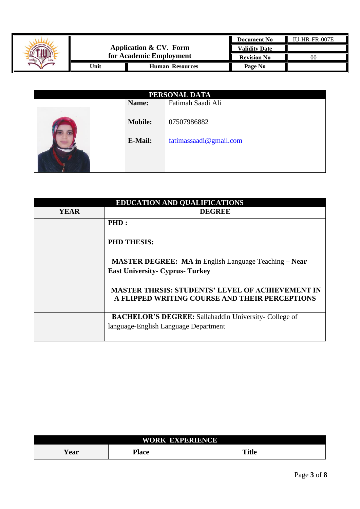|         |                         |                        | <b>Document No</b>   | IU-HR-FR-007E |
|---------|-------------------------|------------------------|----------------------|---------------|
| ATIONAL |                         | Application & CV. Form | <b>Validity Date</b> |               |
|         | for Academic Employment |                        | <b>Revision No</b>   | 00            |
|         | Unit                    | <b>Human Resources</b> | Page No              |               |

| PERSONAL DATA |                |                        |  |  |  |  |
|---------------|----------------|------------------------|--|--|--|--|
|               | Name:          | Fatimah Saadi Ali      |  |  |  |  |
|               | <b>Mobile:</b> | 07507986882            |  |  |  |  |
|               | E-Mail:        | fatimassaadi@gmail.com |  |  |  |  |
|               |                |                        |  |  |  |  |

| <b>EDUCATION AND QUALIFICATIONS</b> |                                                                                                           |  |  |  |  |
|-------------------------------------|-----------------------------------------------------------------------------------------------------------|--|--|--|--|
| <b>YEAR</b>                         | <b>DEGREE</b>                                                                                             |  |  |  |  |
|                                     | PHD:                                                                                                      |  |  |  |  |
|                                     | <b>PHD THESIS:</b>                                                                                        |  |  |  |  |
|                                     | <b>MASTER DEGREE: MA in English Language Teaching – Near</b>                                              |  |  |  |  |
|                                     | <b>East University- Cyprus- Turkey</b>                                                                    |  |  |  |  |
|                                     | <b>MASTER THRSIS: STUDENTS' LEVEL OF ACHIEVEMENT IN</b><br>A FLIPPED WRITING COURSE AND THEIR PERCEPTIONS |  |  |  |  |
|                                     | <b>BACHELOR'S DEGREE:</b> Sallahaddin University- College of                                              |  |  |  |  |
|                                     | language-English Language Department                                                                      |  |  |  |  |
|                                     |                                                                                                           |  |  |  |  |

| <b>WORK</b><br><b>EXPERIENCE</b> |              |              |  |  |
|----------------------------------|--------------|--------------|--|--|
| Year                             | <b>Place</b> | <b>Title</b> |  |  |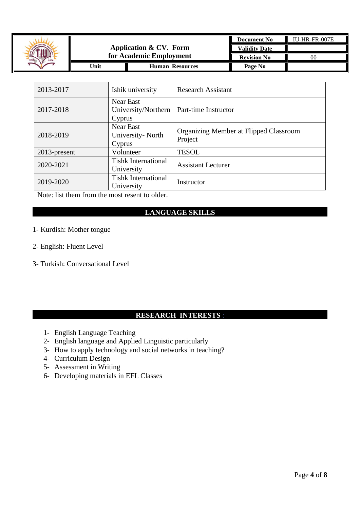

| 2013-2017       | Ishik university                                  | <b>Research Assistant</b>                         |
|-----------------|---------------------------------------------------|---------------------------------------------------|
| 2017-2018       | <b>Near East</b><br>University/Northern<br>Cyprus | Part-time Instructor                              |
| 2018-2019       | <b>Near East</b><br>University- North<br>Cyprus   | Organizing Member at Flipped Classroom<br>Project |
| $2013$ -present | Volunteer                                         | <b>TESOL</b>                                      |
| 2020-2021       | <b>Tishk International</b><br>University          | <b>Assistant Lecturer</b>                         |
| 2019-2020       | <b>Tishk International</b><br>University          | Instructor                                        |

Note: list them from the most resent to older.

## **LANGUAGE SKILLS**

- 1- Kurdish: Mother tongue
- 2- English: Fluent Level
- 3- Turkish: Conversational Level

### **RESEARCH INTERESTS** :

- 1- English Language Teaching
- 2- English language and Applied Linguistic particularly
- 3- How to apply technology and social networks in teaching?
- 4- Curriculum Design
- 5- Assessment in Writing
- 6- Developing materials in EFL Classes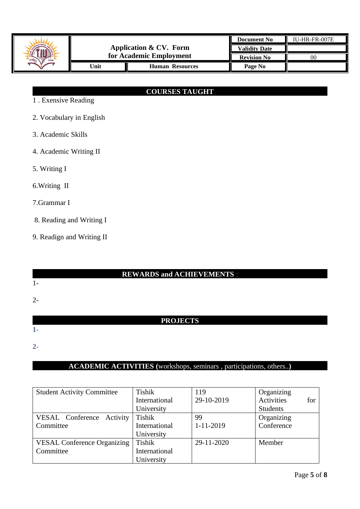

# **COURSES TAUGHT**

- 1 . Exensive Reading
- 2. Vocabulary in English
- 3. Academic Skills
- 4. Academic Writing II
- 5. Writing I
- 6.Writing II
- 7.Grammar I
- 8. Reading and Writing I
- 9. Readign and Writing II

### **REWARDS and ACHIEVEMENTS** :

1-

# 2-

## **PROJECTS**

**1-**

**2-**

# **ACADEMIC ACTIVITIES (**workshops, seminars , participations, others..**)**

| <b>Student Activity Committee</b>  | <b>Tishik</b> | 119         | Organizing        |
|------------------------------------|---------------|-------------|-------------------|
|                                    | International | 29-10-2019  | Activities<br>for |
|                                    | University    |             | <b>Students</b>   |
| VESAL Conference Activity          | Tishik        | 99          | Organizing        |
| Committee                          | International | $1-11-2019$ | Conference        |
|                                    | University    |             |                   |
| <b>VESAL Conference Organizing</b> | Tishik        | 29-11-2020  | Member            |
| Committee                          | International |             |                   |
|                                    | University    |             |                   |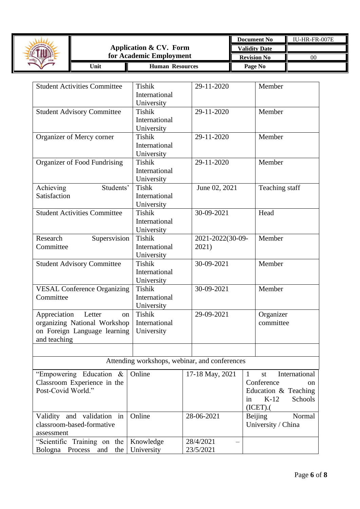

| <b>Student Activities Committee</b> | Tishik        | 29-11-2020                                    | Member                              |
|-------------------------------------|---------------|-----------------------------------------------|-------------------------------------|
|                                     | International |                                               |                                     |
|                                     | University    |                                               |                                     |
| <b>Student Advisory Committee</b>   | Tishik        | 29-11-2020                                    | Member                              |
|                                     | International |                                               |                                     |
|                                     | University    |                                               |                                     |
| Organizer of Mercy corner           | Tishik        | 29-11-2020                                    | Member                              |
|                                     | International |                                               |                                     |
|                                     | University    |                                               |                                     |
| Organizer of Food Fundrising        | <b>Tishik</b> | 29-11-2020                                    | Member                              |
|                                     | International |                                               |                                     |
|                                     | University    |                                               |                                     |
| Achieving<br>Students'              | <b>Tishk</b>  | June 02, 2021                                 | Teaching staff                      |
| Satisfaction                        | International |                                               |                                     |
|                                     | University    |                                               |                                     |
| <b>Student Activities Committee</b> | <b>Tishik</b> | 30-09-2021                                    | Head                                |
|                                     | International |                                               |                                     |
|                                     | University    |                                               |                                     |
| Research<br>Supersvision            | <b>Tishik</b> | 2021-2022(30-09-                              | Member                              |
| Committee                           | International | 2021)                                         |                                     |
|                                     | University    |                                               |                                     |
| <b>Student Advisory Committee</b>   | Tishik        | 30-09-2021                                    | Member                              |
|                                     | International |                                               |                                     |
|                                     | University    |                                               |                                     |
| <b>VESAL Conference Organizing</b>  | <b>Tishik</b> | 30-09-2021                                    | Member                              |
| Committee                           | International |                                               |                                     |
|                                     | University    |                                               |                                     |
| Appreciation<br>Letter<br>on        | <b>Tishik</b> | 29-09-2021                                    | Organizer                           |
| organizing National Workshop        | International |                                               | committee                           |
| on Foreign Language learning        | University    |                                               |                                     |
| and teaching                        |               |                                               |                                     |
|                                     |               |                                               |                                     |
|                                     |               |                                               |                                     |
|                                     |               | Attending workshops, webinar, and conferences |                                     |
| "Empowering Education &             | Online        | 17-18 May, 2021                               | International<br>$\mathbf{1}$<br>st |
| Classroom Experience in the         |               |                                               | Conference<br><sub>on</sub>         |
| Post-Covid World."                  |               |                                               | Education & Teaching                |
|                                     |               |                                               | $K-12$<br>Schools<br>in             |
|                                     |               |                                               | (ICET).                             |
| and validation in<br>Validity       | Online        | 28-06-2021                                    | Normal<br>Beijing                   |
| classroom-based-formative           |               |                                               | University / China                  |
| assessment                          |               |                                               |                                     |
| "Scientific Training on the         | Knowledge     | 28/4/2021                                     |                                     |
| Bologna Process<br>and<br>the       | University    | 23/5/2021                                     |                                     |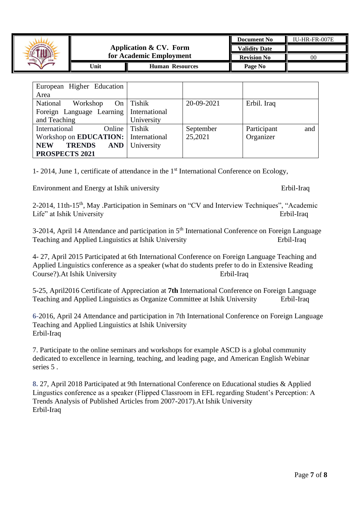| ANDITAL |                                 |                        | <b>Document No</b>   | $IU-HR-FR-007E$ |
|---------|---------------------------------|------------------------|----------------------|-----------------|
|         |                                 | Application & CV. Form | <b>Validity Date</b> |                 |
| ERBI    | for Academic Employment         |                        | <b>Revision No</b>   | K               |
|         | 'Jnit<br><b>Human Resources</b> |                        | Page No              |                 |

| European Higher Education                   |                   |            |                    |
|---------------------------------------------|-------------------|------------|--------------------|
| Area                                        |                   |            |                    |
| National<br>Workshop                        | On $\vert$ Tishik | 20-09-2021 | Erbil. Iraq        |
| Foreign Language Learning   International   |                   |            |                    |
| and Teaching                                | University        |            |                    |
| International<br>Online                     | Tishik            | September  | and<br>Participant |
| Workshop on <b>EDUCATION:</b> International |                   | 25,2021    | Organizer          |
| <b>TRENDS</b><br><b>AND</b><br><b>NEW</b>   | University        |            |                    |
| PROSPECTS 2021                              |                   |            |                    |

1- 2014, June 1, certificate of attendance in the 1<sup>st</sup> International Conference on Ecology,

Environment and Energy at Ishik university Erbil-Iraq

2-2014, 11th-15<sup>th</sup>, May .Participation in Seminars on "CV and Interview Techniques", "Academic Life" at Ishik University Erbil-Iraq

3-2014, April 14 Attendance and participation in 5<sup>th</sup> International Conference on Foreign Language Teaching and Applied Linguistics at Ishik University Erbil-Iraq

4- 27, April 2015 Participated at 6th International Conference on Foreign Language Teaching and Applied Linguistics conference as a speaker (what do students prefer to do in Extensive Reading Course?).At Ishik University Erbil-Iraq

5-25, April2016 Certificate of Appreciation at **7th** International Conference on Foreign Language Teaching and Applied Linguistics as Organize Committee at Ishik University Erbil-Iraq

**6-**2016, April 24 Attendance and participation in 7th International Conference on Foreign Language Teaching and Applied Linguistics at Ishik University Erbil-Iraq

7. Participate to the online seminars and workshops for example ASCD is a global community dedicated to excellence in learning, teaching, and leading page, and American English Webinar series 5 .

**8.** 27, April 2018 Participated at 9th International Conference on Educational studies & Applied Lingustics conference as a speaker (Flipped Classroom in EFL regarding Student's Perception: A Trends Analysis of Published Articles from 2007-2017).At Ishik University Erbil-Iraq